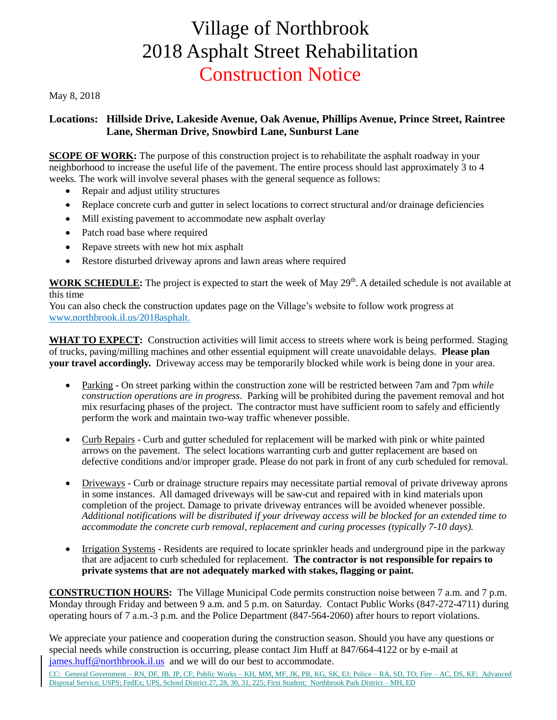## Village of Northbrook 2018 Asphalt Street Rehabilitation Construction Notice

May 8, 2018

## **Locations: Hillside Drive, Lakeside Avenue, Oak Avenue, Phillips Avenue, Prince Street, Raintree Lane, Sherman Drive, Snowbird Lane, Sunburst Lane**

**SCOPE OF WORK:** The purpose of this construction project is to rehabilitate the asphalt roadway in your neighborhood to increase the useful life of the pavement. The entire process should last approximately 3 to 4 weeks. The work will involve several phases with the general sequence as follows:

- Repair and adjust utility structures
- Replace concrete curb and gutter in select locations to correct structural and/or drainage deficiencies
- Mill existing pavement to accommodate new asphalt overlay
- Patch road base where required
- Repave streets with new hot mix asphalt
- Restore disturbed driveway aprons and lawn areas where required

**WORK SCHEDULE:** The project is expected to start the week of May 29<sup>th</sup>. A detailed schedule is not available at this time

You can also check the construction updates page on the Village's website to follow work progress at www.northbrook.il.us/2018asphalt.

**WHAT TO EXPECT:** Construction activities will limit access to streets where work is being performed. Staging of trucks, paving/milling machines and other essential equipment will create unavoidable delays. **Please plan your travel accordingly.** Driveway access may be temporarily blocked while work is being done in your area.

- Parking On street parking within the construction zone will be restricted between 7am and 7pm *while construction operations are in progress*. Parking will be prohibited during the pavement removal and hot mix resurfacing phases of the project. The contractor must have sufficient room to safely and efficiently perform the work and maintain two-way traffic whenever possible.
- Curb Repairs Curb and gutter scheduled for replacement will be marked with pink or white painted arrows on the pavement. The select locations warranting curb and gutter replacement are based on defective conditions and/or improper grade. Please do not park in front of any curb scheduled for removal.
- Driveways Curb or drainage structure repairs may necessitate partial removal of private driveway aprons in some instances. All damaged driveways will be saw-cut and repaired with in kind materials upon completion of the project. Damage to private driveway entrances will be avoided whenever possible. *Additional notifications will be distributed if your driveway access will be blocked for an extended time to accommodate the concrete curb removal, replacement and curing processes (typically 7-10 days).*
- Irrigation Systems Residents are required to locate sprinkler heads and underground pipe in the parkway that are adjacent to curb scheduled for replacement. **The contractor is not responsible for repairs to private systems that are not adequately marked with stakes, flagging or paint.**

**CONSTRUCTION HOURS:** The Village Municipal Code permits construction noise between 7 a.m. and 7 p.m. Monday through Friday and between 9 a.m. and 5 p.m. on Saturday. Contact Public Works (847-272-4711) during operating hours of 7 a.m.-3 p.m. and the Police Department (847-564-2060) after hours to report violations.

We appreciate your patience and cooperation during the construction season. Should you have any questions or special needs while construction is occurring, please contact Jim Huff at 847/664-4122 or by e-mail at [james.huff@northbrook.il.us](mailto:james.huff@northbrook.il.us) and we will do our best to accommodate.

CC: General Government – RN, DF, JB, JP, CF; Public Works – KH, MM, MF, JK, PR, KG, SK, EJ; Police – RA, SD, TO; Fire – AC, DS, KF; Advanced Disposal Service; USPS; FedEx; UPS, School District 27, 28, 30, 31, 225; First Student; Northbrook Park District – MH, ED